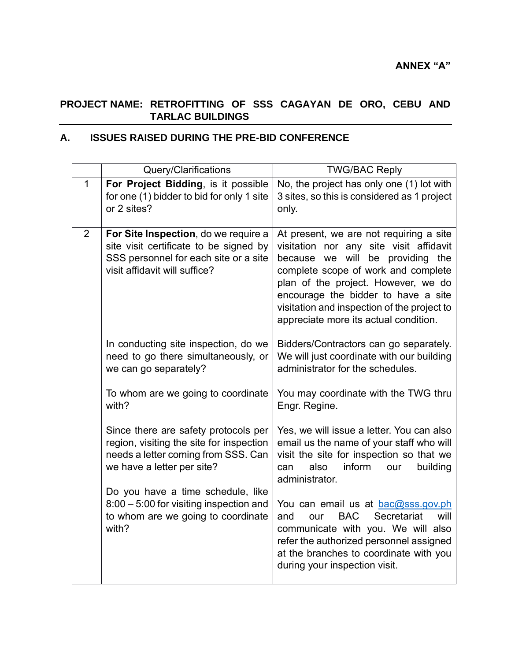## **PROJECT NAME: RETROFITTING OF SSS CAGAYAN DE ORO, CEBU AND TARLAC BUILDINGS**

## **A. ISSUES RAISED DURING THE PRE-BID CONFERENCE**

|             | Query/Clarifications                                                                                                                                     | <b>TWG/BAC Reply</b>                                                                                                                                                                                                                                                                                                                |
|-------------|----------------------------------------------------------------------------------------------------------------------------------------------------------|-------------------------------------------------------------------------------------------------------------------------------------------------------------------------------------------------------------------------------------------------------------------------------------------------------------------------------------|
| $\mathbf 1$ | For Project Bidding, is it possible<br>for one (1) bidder to bid for only 1 site<br>or 2 sites?                                                          | No, the project has only one (1) lot with<br>3 sites, so this is considered as 1 project<br>only.                                                                                                                                                                                                                                   |
| 2           | For Site Inspection, do we require a<br>site visit certificate to be signed by<br>SSS personnel for each site or a site<br>visit affidavit will suffice? | At present, we are not requiring a site<br>visitation nor any site visit affidavit<br>because we will be providing the<br>complete scope of work and complete<br>plan of the project. However, we do<br>encourage the bidder to have a site<br>visitation and inspection of the project to<br>appreciate more its actual condition. |
|             | In conducting site inspection, do we<br>need to go there simultaneously, or<br>we can go separately?                                                     | Bidders/Contractors can go separately.<br>We will just coordinate with our building<br>administrator for the schedules.                                                                                                                                                                                                             |
|             | To whom are we going to coordinate<br>with?                                                                                                              | You may coordinate with the TWG thru<br>Engr. Regine.                                                                                                                                                                                                                                                                               |
|             | Since there are safety protocols per<br>region, visiting the site for inspection<br>needs a letter coming from SSS. Can<br>we have a letter per site?    | Yes, we will issue a letter. You can also<br>email us the name of your staff who will<br>visit the site for inspection so that we<br>also<br>inform<br>building<br>can<br>our<br>administrator.                                                                                                                                     |
|             | Do you have a time schedule, like<br>8:00 - 5:00 for visiting inspection and<br>to whom are we going to coordinate<br>with?                              | You can email us at bac@sss.gov.ph<br>Secretariat<br>and<br><b>BAC</b><br>will<br>our<br>communicate with you. We will also<br>refer the authorized personnel assigned<br>at the branches to coordinate with you<br>during your inspection visit.                                                                                   |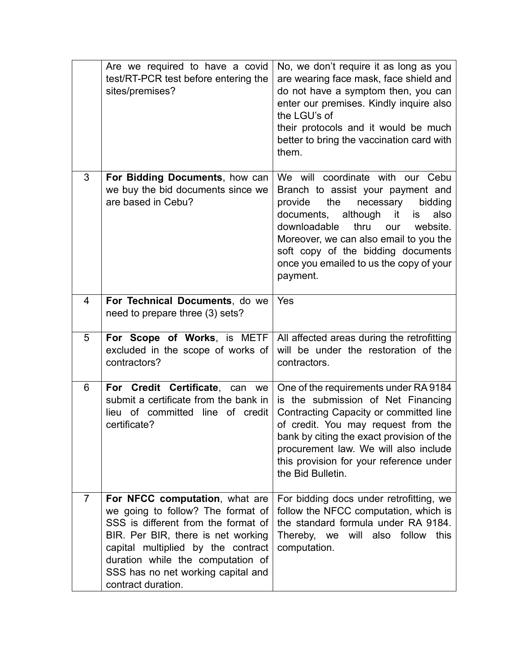|                | Are we required to have a covid<br>test/RT-PCR test before entering the<br>sites/premises?                                                                                                                                                                                              | No, we don't require it as long as you<br>are wearing face mask, face shield and<br>do not have a symptom then, you can<br>enter our premises. Kindly inquire also<br>the LGU's of<br>their protocols and it would be much<br>better to bring the vaccination card with<br>them.                                                                 |
|----------------|-----------------------------------------------------------------------------------------------------------------------------------------------------------------------------------------------------------------------------------------------------------------------------------------|--------------------------------------------------------------------------------------------------------------------------------------------------------------------------------------------------------------------------------------------------------------------------------------------------------------------------------------------------|
| 3              | For Bidding Documents, how can<br>we buy the bid documents since we<br>are based in Cebu?                                                                                                                                                                                               | We will coordinate with our Cebu<br>Branch to assist your payment and<br>provide<br>the<br>necessary<br>bidding<br>although<br>documents,<br>it<br>also<br>is.<br>downloadable<br>thru<br>website.<br>our<br>Moreover, we can also email to you the<br>soft copy of the bidding documents<br>once you emailed to us the copy of your<br>payment. |
| 4              | For Technical Documents, do we<br>need to prepare three (3) sets?                                                                                                                                                                                                                       | Yes                                                                                                                                                                                                                                                                                                                                              |
| 5              | For Scope of Works, is METF<br>excluded in the scope of works of<br>contractors?                                                                                                                                                                                                        | All affected areas during the retrofitting<br>will be under the restoration of the<br>contractors.                                                                                                                                                                                                                                               |
| 6              | For Credit Certificate, can we<br>submit a certificate from the bank in<br>lieu of committed<br>line of credit<br>certificate?                                                                                                                                                          | One of the requirements under RA 9184<br>is the submission of Net Financing<br>Contracting Capacity or committed line<br>of credit. You may request from the<br>bank by citing the exact provision of the<br>procurement law. We will also include<br>this provision for your reference under<br>the Bid Bulletin.                               |
| $\overline{7}$ | For NFCC computation, what are<br>we going to follow? The format of<br>SSS is different from the format of<br>BIR. Per BIR, there is net working<br>capital multiplied by the contract<br>duration while the computation of<br>SSS has no net working capital and<br>contract duration. | For bidding docs under retrofitting, we<br>follow the NFCC computation, which is<br>the standard formula under RA 9184.<br>Thereby, we will also follow<br>this<br>computation.                                                                                                                                                                  |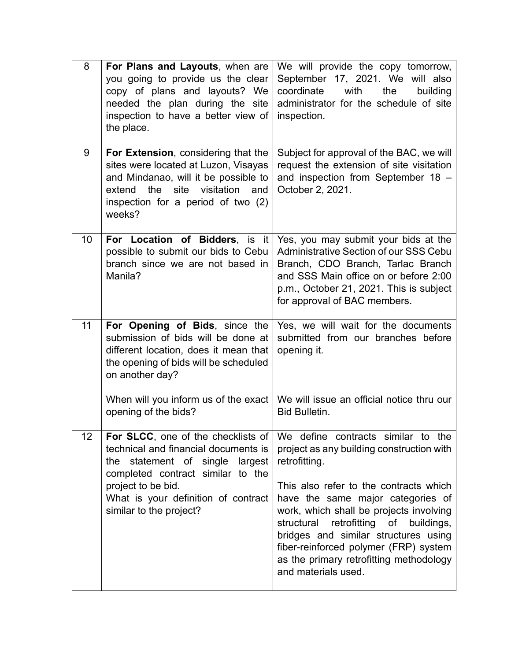| 8               | For Plans and Layouts, when are<br>you going to provide us the clear<br>copy of plans and layouts? We<br>needed the plan during the site<br>inspection to have a better view of<br>the place.                                              | We will provide the copy tomorrow,<br>September 17, 2021. We will also<br>coordinate<br>with<br>the<br>building<br>administrator for the schedule of site<br>inspection.                                                                                                                                              |
|-----------------|--------------------------------------------------------------------------------------------------------------------------------------------------------------------------------------------------------------------------------------------|-----------------------------------------------------------------------------------------------------------------------------------------------------------------------------------------------------------------------------------------------------------------------------------------------------------------------|
| 9               | For Extension, considering that the<br>sites were located at Luzon, Visayas<br>and Mindanao, will it be possible to<br>the<br>site<br>visitation<br>extend<br>and<br>inspection for a period of two (2)<br>weeks?                          | Subject for approval of the BAC, we will<br>request the extension of site visitation<br>and inspection from September 18 -<br>October 2, 2021.                                                                                                                                                                        |
| 10 <sup>°</sup> | For Location of Bidders, is it<br>possible to submit our bids to Cebu<br>branch since we are not based in<br>Manila?                                                                                                                       | Yes, you may submit your bids at the<br><b>Administrative Section of our SSS Cebu</b><br>Branch, CDO Branch, Tarlac Branch<br>and SSS Main office on or before 2:00<br>p.m., October 21, 2021. This is subject<br>for approval of BAC members.                                                                        |
| 11              | For Opening of Bids, since the<br>submission of bids will be done at<br>different location, does it mean that<br>the opening of bids will be scheduled<br>on another day?                                                                  | Yes, we will wait for the documents<br>submitted from our branches before<br>opening it.                                                                                                                                                                                                                              |
|                 | When will you inform us of the exact<br>opening of the bids?                                                                                                                                                                               | We will issue an official notice thru our<br><b>Bid Bulletin.</b>                                                                                                                                                                                                                                                     |
| 12              | For SLCC, one of the checklists of<br>technical and financial documents is<br>the statement of single largest<br>completed contract similar to the<br>project to be bid.<br>What is your definition of contract<br>similar to the project? | We define contracts similar to the<br>project as any building construction with<br>retrofitting.                                                                                                                                                                                                                      |
|                 |                                                                                                                                                                                                                                            | This also refer to the contracts which<br>have the same major categories of<br>work, which shall be projects involving<br>structural retrofitting of<br>buildings,<br>bridges and similar structures using<br>fiber-reinforced polymer (FRP) system<br>as the primary retrofitting methodology<br>and materials used. |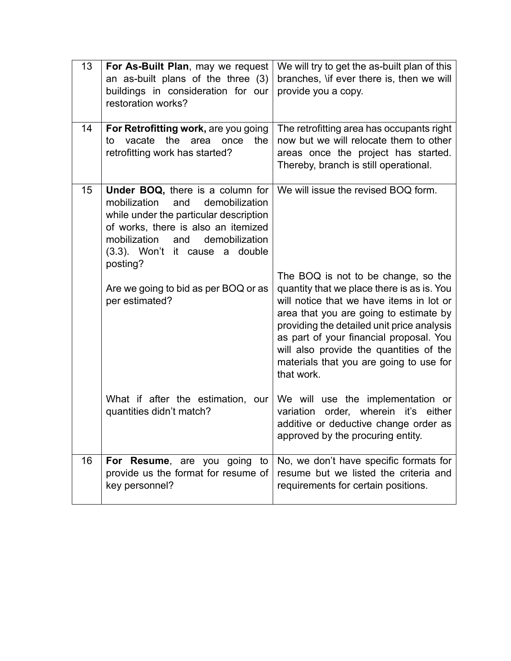| 13              | For As-Built Plan, may we request<br>an as-built plans of the three (3)<br>buildings in consideration for our<br>restoration works?                                                                                                                                                                         | We will try to get the as-built plan of this<br>branches, \if ever there is, then we will<br>provide you a copy.                                                                                                                                                                                                                                                                              |
|-----------------|-------------------------------------------------------------------------------------------------------------------------------------------------------------------------------------------------------------------------------------------------------------------------------------------------------------|-----------------------------------------------------------------------------------------------------------------------------------------------------------------------------------------------------------------------------------------------------------------------------------------------------------------------------------------------------------------------------------------------|
| 14              | For Retrofitting work, are you going<br>vacate<br>the<br>the<br>to<br>area<br>once<br>retrofitting work has started?                                                                                                                                                                                        | The retrofitting area has occupants right<br>now but we will relocate them to other<br>areas once the project has started.<br>Thereby, branch is still operational.                                                                                                                                                                                                                           |
| 15 <sub>1</sub> | Under BOQ, there is a column for<br>demobilization<br>mobilization<br>and<br>while under the particular description<br>of works, there is also an itemized<br>demobilization<br>mobilization<br>and<br>(3.3). Won't it cause a double<br>posting?<br>Are we going to bid as per BOQ or as<br>per estimated? | We will issue the revised BOQ form.<br>The BOQ is not to be change, so the<br>quantity that we place there is as is. You<br>will notice that we have items in lot or<br>area that you are going to estimate by<br>providing the detailed unit price analysis<br>as part of your financial proposal. You<br>will also provide the quantities of the<br>materials that you are going to use for |
|                 | What if after the estimation, our<br>quantities didn't match?                                                                                                                                                                                                                                               | that work.<br>We will use the implementation or<br>order, wherein<br>variation<br>it's either<br>additive or deductive change order as<br>approved by the procuring entity.                                                                                                                                                                                                                   |
| 16              | For Resume, are you going to<br>provide us the format for resume of<br>key personnel?                                                                                                                                                                                                                       | No, we don't have specific formats for<br>resume but we listed the criteria and<br>requirements for certain positions.                                                                                                                                                                                                                                                                        |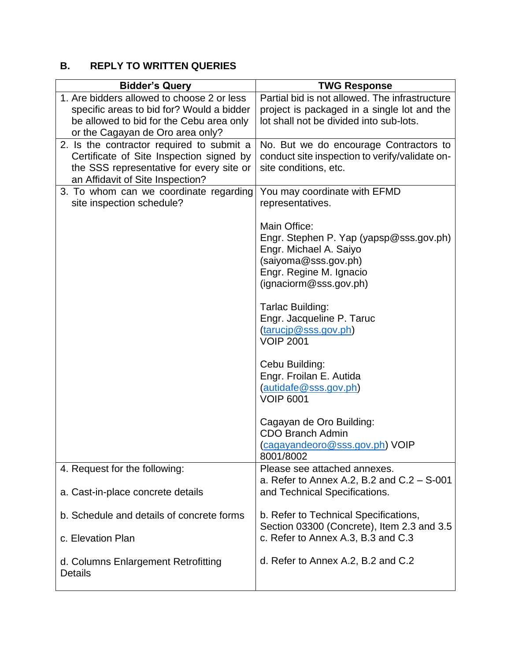## **B. REPLY TO WRITTEN QUERIES**

| <b>Bidder's Query</b>                                                                                                                                                   | <b>TWG Response</b>                                                                                                                                                                                                                                                                                                                                                                                       |
|-------------------------------------------------------------------------------------------------------------------------------------------------------------------------|-----------------------------------------------------------------------------------------------------------------------------------------------------------------------------------------------------------------------------------------------------------------------------------------------------------------------------------------------------------------------------------------------------------|
| 1. Are bidders allowed to choose 2 or less<br>specific areas to bid for? Would a bidder<br>be allowed to bid for the Cebu area only<br>or the Cagayan de Oro area only? | Partial bid is not allowed. The infrastructure<br>project is packaged in a single lot and the<br>lot shall not be divided into sub-lots.                                                                                                                                                                                                                                                                  |
| 2. Is the contractor required to submit a<br>Certificate of Site Inspection signed by<br>the SSS representative for every site or<br>an Affidavit of Site Inspection?   | No. But we do encourage Contractors to<br>conduct site inspection to verify/validate on-<br>site conditions, etc.                                                                                                                                                                                                                                                                                         |
| 3. To whom can we coordinate regarding<br>site inspection schedule?                                                                                                     | You may coordinate with EFMD<br>representatives.<br>Main Office:<br>Engr. Stephen P. Yap (yapsp@sss.gov.ph)<br>Engr. Michael A. Saiyo<br>(saiyoma@sss.gov.ph)<br>Engr. Regine M. Ignacio<br>(ignaciorm@sss.gov.ph)<br>Tarlac Building:<br>Engr. Jacqueline P. Taruc<br>(tarucip@sss.gov.ph)<br><b>VOIP 2001</b><br>Cebu Building:<br>Engr. Froilan E. Autida<br>(autidafe@sss.gov.ph)<br><b>VOIP 6001</b> |
|                                                                                                                                                                         | Cagayan de Oro Building:<br><b>CDO Branch Admin</b><br>(cagayandeoro@sss.gov.ph) VOIP<br>8001/8002                                                                                                                                                                                                                                                                                                        |
| 4. Request for the following:                                                                                                                                           | Please see attached annexes.                                                                                                                                                                                                                                                                                                                                                                              |
| a. Cast-in-place concrete details                                                                                                                                       | a. Refer to Annex A.2, B.2 and $C.2 - S$ -001<br>and Technical Specifications.                                                                                                                                                                                                                                                                                                                            |
| b. Schedule and details of concrete forms                                                                                                                               | b. Refer to Technical Specifications,<br>Section 03300 (Concrete), Item 2.3 and 3.5                                                                                                                                                                                                                                                                                                                       |
| c. Elevation Plan                                                                                                                                                       | c. Refer to Annex A.3, B.3 and C.3                                                                                                                                                                                                                                                                                                                                                                        |
| d. Columns Enlargement Retrofitting<br><b>Details</b>                                                                                                                   | d. Refer to Annex A.2, B.2 and C.2                                                                                                                                                                                                                                                                                                                                                                        |